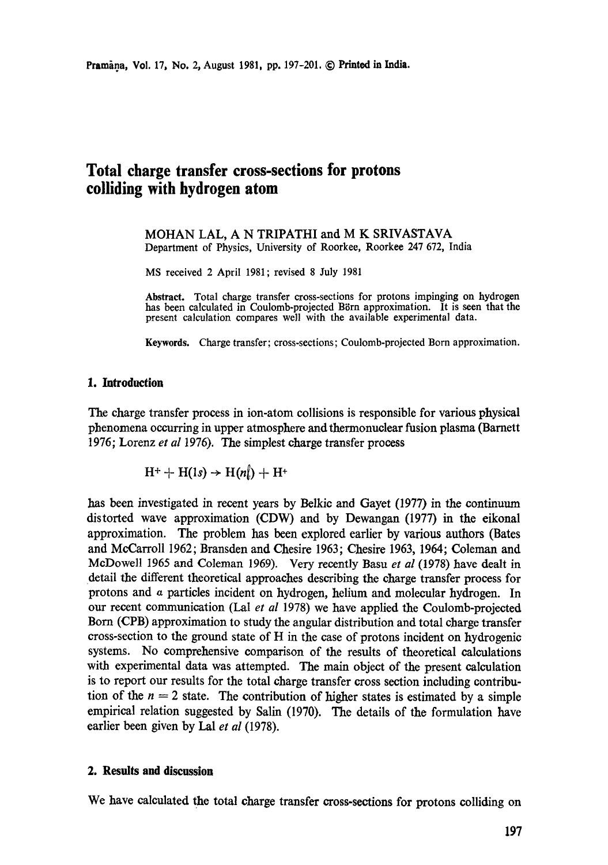## **Total charge transfer cross-sections for protons colliding with hydrogen atom**

MOHAN LAL, A N TRIPATHI and M K SRIVASTAVA Department of Physics, University of Roorkee, Roorkee 247 672, India

MS received 2 April 1981; revised 8 July 1981

**Abstract.** Total charge transfer cross-sections for protons impinging on hydrogen has been calculated in Coulomb-projected Börn approximation. It is seen that the present calculation compares well with the available experimental data.

Keywords. Charge transfer; cross-sections; Coulomb-projected Born approximation.

## **1. Introduction**

The charge transfer process in ion-atom collisions is responsible for various physical phenomena occurring in upper atmosphere and thermonuclear fusion plasma (Barnett 1976; Lorenz *et al* 1976). The simplest charge transfer process

$$
H^+ + H(1s) \rightarrow H(n\!\!\downarrow) + H^+
$$

has been investigated in recent years by Belkic and Gayet (1977) in the continuum distorted wave approximation (CDW) and by Dewangan (1977) in the eikonal approximation. The problem has been explored earlier by various authors (Bates and MeCarroll 1962; Bransden and Chesire 1963; Chesire 1963, 1964; Coleman and McDowell 1965 and Coleman 1969). Very recently Basu *et al* (1978) have dealt in detail the different theoretical approaches describing the charge transfer process for protons and a particles incident on hydrogen, helium and molecular hydrogen. In our recent communication (Lal *et al* 1978) we have applied the Coulomb-projected Born (CPB) approximation to study the angular distribution and total charge transfer cross-section to the ground state of H in the case of protons incident on hydrogenic systems. No comprehensive comparison of the results of theoretical calculations with experimental data was attempted. The main object of the present calculation is to report our results for the total charge transfer cross section including contribution of the  $n = 2$  state. The contribution of higher states is estimated by a simple empirical relation suggested by Salin (1970). The details of the formulation have earlier been given by Lal *et al* (1978).

## **2. Results and discussion**

We have calculated the total charge transfer cross-sections for protons colliding on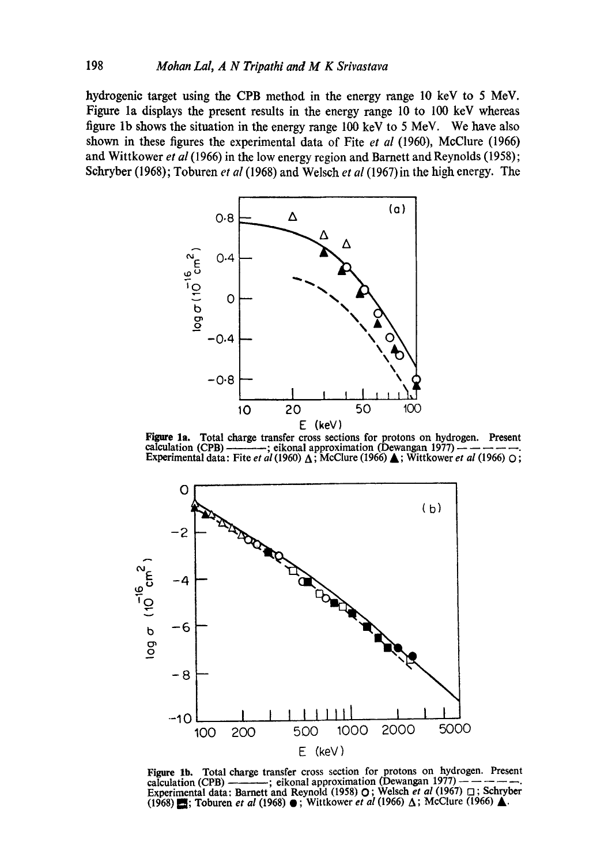hydrogenic target using the CPB method in the energy range 10 keV to 5 MeV. Figure la displays the present results in the energy range 10 to 100 keV whereas figure lb shows the situation in the energy range 100 keV to 5 MeV. We have also shown in these figures the experimental data of Fite *et al* (1960), MeClure (1966) and Wittkower *et al* (1966) in the low energy region and Barnett and Reynolds (1958); Schryber (1968); Toburen *et al* (1968) and Welsch *et al* (1967) in the high energy. The



Figure la. Total charge transfer cross sections for protons on hydrogen. Present calculation (CPB)  $\longrightarrow$ ; eikonal approximation (Dewangan 1977)  $\longrightarrow$   $\longrightarrow$   $\longrightarrow$ . Experimental data: Fite *et al* (1960)  $\triangle$ ; McClure (1966)  $\triangle$ ; Wittkower *et al* (1966) O;



Figure lb. Total charge transfer cross section for protons on hydrogen. Present calculation (CPB)  $\frac{1}{1-\frac{1}{1-\frac{1}{1-\frac{1}{1-\frac{1}{1-\frac{1}{1-\frac{1}{1-\frac{1}{1-\frac{1}{1-\frac{1}{1-\frac{1}{1-\frac{1}{1-\frac{1}{1-\frac{1}{1-\frac{1}{1-\frac{1}{1-\frac{1}{1-\frac{1}{1-\frac{1}{1-\frac{1}{1-\frac{1}{1-\frac{1}{1-\frac{1}{1-\frac{1}{1-\frac{1}{1-\frac{1}{1-\frac{1}{1-\frac{1}{1-\frac{1}{1-\frac{1}{1-\frac{1}{1-\frac{1}{1-\frac{1}{1-\frac{1$ Experimental data: Barnett and Reynold (1958) O ; Welseh *et al* (1967) [] ; Schryber (1968) **E**; Toburen *et al* (1968) ● ; Wittkower *et al* (1966) △ ; McClure (1966) △.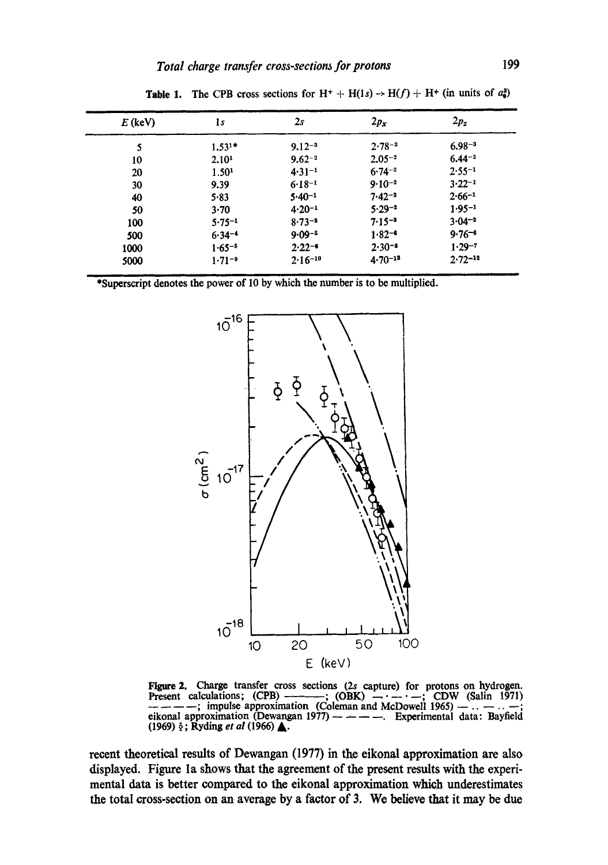| $E$ (keV) | ls                | 2s          | $2p_x$                | $2p_z$      |
|-----------|-------------------|-------------|-----------------------|-------------|
| 5         | $1.531*$          | $9.12 - 3$  | $2.78 - 3$            | $6.98 - 3$  |
| 10        | 2.10 <sup>1</sup> | $9.62 - 2$  | $2.05 - 2$            | $6.44 - 2$  |
| 20        | 1.50 <sup>1</sup> | $4.31 - 1$  | $6.74 - 2$            | $2.55 - 1$  |
| 30        | 9.39              | $6.18 - 1$  | $9.10^{-2}$           | $3.22 - 1$  |
| 40        | 5.83              | $5.40 - 1$  | $7.42 - 2$            | $2.66 - 1$  |
| 50        | 3.70              | $4.20 - 1$  | $5.29 - 2$            | $1.95 - 1$  |
| 100       | $5.75 - 1$        | $8.73 - 2$  | $7.15 -$ <sup>3</sup> | $3.04 - 2$  |
| 500       | $6.34 - 4$        | $9.09 - 5$  | $1.82 -$              | $9.76 - 6$  |
| 1000      | $1.65 - 5$        | $2.22 - 6$  | $2.30 - 8$            | $1.29 - 7$  |
| 5000      | $1.71 - 9$        | $2.16 - 10$ | $4.70 - 13$           | $2.72 - 12$ |

**Table 1.** The CPB cross sections for  $H^+ + H(1s) \rightarrow H(f) + H^+$  (in units of  $a_0^2$ )



Figure 2. Charge transfer cross sections (2s capture) for protons on hydrogen. Present calculations;  $(CPB)$  -------;  $(CBK)$  -- $\cdot$ - $\cdot$ -;  $CDW$  (Salin 1971) ; impulse approximation (Coleman and McDowell 1965)  $- \ldots -$ ; eikonal approximation (Dewangan 1977)  $-- ---$  Experimental data: Bayfield (1969) ~; Ryding *et al* (1966) A.

recent theoretical results of Dewangan (1977) in the eikonal approximation are also displayed. Figure la shows that the agreement of the present results with the experimental data is better compared to the eikonal approximation which underestimates the total cross-section on an average by a factor of 3. We believe that it may be due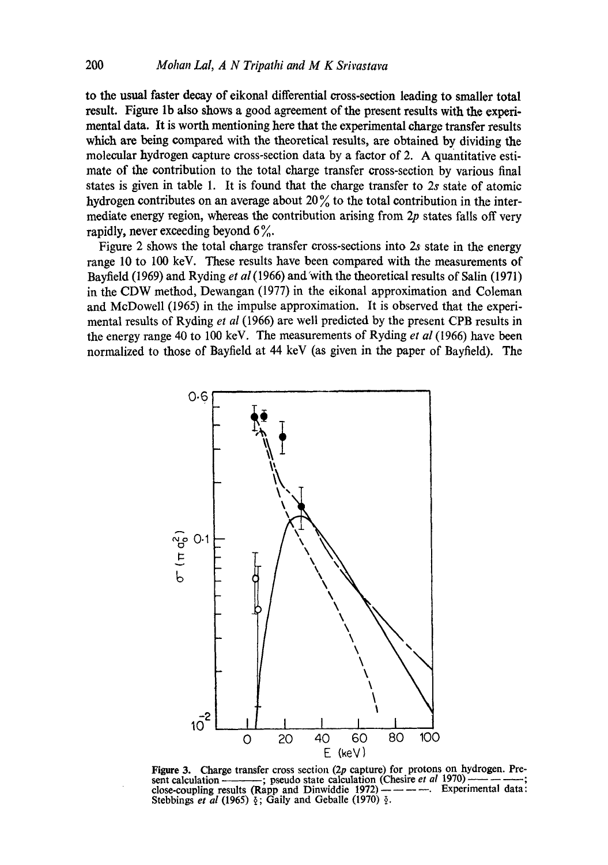to the usual faster decay of eikonal differential cross-section leading to smaller total result. Figure lb also shows a good agreement of the present results with the experimental data. It is worth mentioning here that the experimental charge transfer results which are being compared with the theoretical results, are obtained by dividing the molecular hydrogen capture cross-section data by a factor of 2. A quantitative estimate of the contribution to the total charge transfer cross-section by various final states is given in table 1. It is found that the charge transfer to 2s state of atomic hydrogen contributes on an average about  $20\%$  to the total contribution in the intermediate energy region, whereas the contribution arising from 2p states falls off very rapidly, never exceeding beyond  $6\%$ .

Figure 2 shows the total charge transfer cross-sections into 2s state in the energy range 10 to 100 keV. These results have been compared with the measurements of Bayfield (1969) and Ryding *e t al* (1966) and 'with the theoretical results of Salin (1971) in the CDW method, Dewangan (1977) in the eikonal approximation and Coleman and McDowell (1965) in the impulse approximation. It is observed that the experimental results of Ryding *et al* (1966) are well predicted by the present CPB results in the energy range 40 to 100 keV. The measurements of Ryding *et al* (1966) have been normalized to those of Bayfield at 44 keV (as given in the paper of Bayfield). The



Figure 3. Charge transfer cross section  $(2p \text{ capture})$  for protons on hydrogen. Present calculation ———; pseudo state calculation (Chesire *et al* 1970) —— ——; close-coupling results (Rapp and Dinwiddie 1972)  $---$ . Experimental data: Stebbings *et al* (1965)  $\frac{1}{2}$ ; Gaily and Geballe (1970)  $\frac{1}{2}$ .